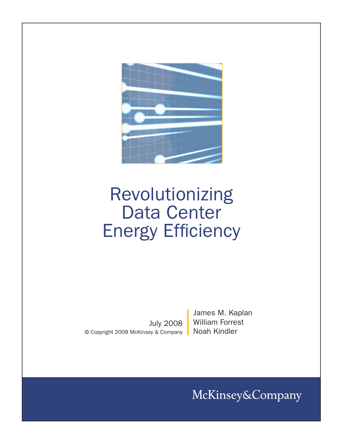

# Revolutionizing Data Center Energy Efficiency

July 2008 © Copyright 2008 McKinsey & Company James M. Kaplan William Forrest Noah Kindler

McKinsey&Company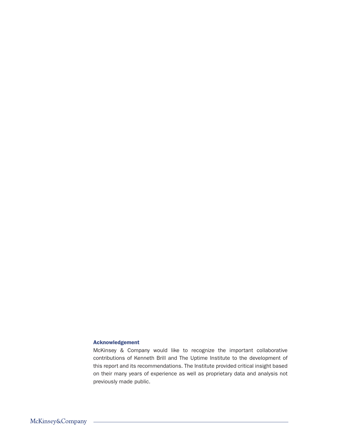# Acknowledgement

McKinsey & Company would like to recognize the important collaborative contributions of Kenneth Brill and The Uptime Institute to the development of this report and its recommendations. The Institute provided critical insight based on their many years of experience as well as proprietary data and analysis not previously made public.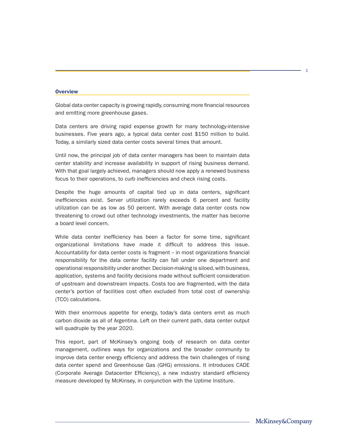### **Overview**

Global data center capacity is growing rapidly, consuming more financial resources and emitting more greenhouse gases.

Data centers are driving rapid expense growth for many technology-intensive businesses. Five years ago, a typical data center cost \$150 million to build. Today, a similarly sized data center costs several times that amount.

Until now, the principal job of data center managers has been to maintain data center stability and increase availability in support of rising business demand. With that goal largely achieved, managers should now apply a renewed business focus to their operations, to curb inefficiencies and check rising costs.

Despite the huge amounts of capital tied up in data centers, significant inefficiencies exist. Server utilization rarely exceeds 6 percent and facility utilization can be as low as 50 percent. With average data center costs now threatening to crowd out other technology investments, the matter has become a board level concern.

While data center inefficiency has been a factor for some time, significant organizational limitations have made it difficult to address this issue. Accountability for data center costs is fragment - in most organizations financial responsibility for the data center facility can fall under one department and operational responsibility under another. Decision-making is siloed, with business, application, systems and facility decisions made without sufficient consideration of upstream and downstream impacts. Costs too are fragmented, with the data center's portion of facilities cost often excluded from total cost of ownership (TCO) calculations.

With their enormous appetite for energy, today's data centers emit as much carbon dioxide as all of Argentina. Left on their current path, data center output will quadruple by the year 2020.

This report, part of McKinsey's ongoing body of research on data center management, outlines ways for organizations and the broader community to improve data center energy efficiency and address the twin challenges of rising data center spend and Greenhouse Gas (GHG) emissions. It introduces CADE (Corporate Average Datacenter Efficiency), a new industry standard efficiency measure developed by McKinsey, in conjunction with the Uptime Institure.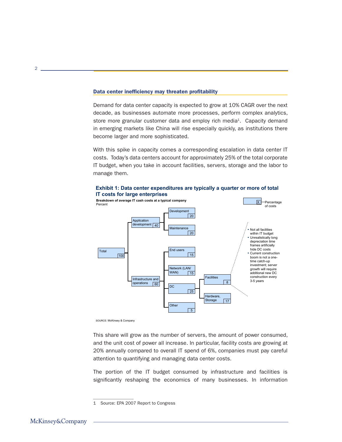### Data center inefficiency may threaten profitability

Demand for data center capacity is expected to grow at 10% CAGR over the next decade, as businesses automate more processes, perform complex analytics, store more granular customer data and employ rich media<sup>1</sup>. Capacity demand in emerging markets like China will rise especially quickly, as institutions there become larger and more sophisticated.

With this spike in capacity comes a corresponding escalation in data center IT costs. Today's data centers account for approximately 25% of the total corporate IT budget, when you take in account facilities, servers, storage and the labor to manage them.



SOURCE: McKinsey & Company

This share will grow as the number of servers, the amount of power consumed, and the unit cost of power all increase. In particular, facility costs are growing at 20% annually compared to overall IT spend of 6%, companies must pay careful attention to quantifying and managing data center costs.

The portion of the IT budget consumed by infrastructure and facilities is significantly reshaping the economics of many businesses. In information

<sup>1</sup> Source: EPA 2007 Report to Congress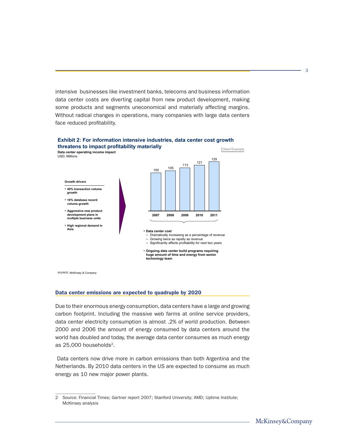intensive businesses like investment banks, telecoms and business information data center costs are diverting capital from new product development, making some products and segments uneconomical and materially affecting margins. Without radical changes in operations, many companies with large data centers face reduced profitability.



# **Exhibit 2: For information intensive industries, data center cost growth threatens to impact profitability materially**

SOURCE: McKinsey & Company

#### Data center emissions are expected to quadruple by 2020

Due to their enormous energy consumption, data centers have a large and growing carbon footprint. Including the massive web farms at online service providers, data center electricity consumption is almost .2% of world production. Between 2000 and 2006 the amount of energy consumed by data centers around the world has doubled and today, the average data center consumes as much energy as 25,000 households<sup>2</sup>.

 Data centers now drive more in carbon emissions than both Argentina and the Netherlands. By 2010 data centers in the US are expected to consume as much energy as 10 new major power plants.

<sup>2</sup> Source: Financial Times; Gartner report 2007; Stanford University; AMD; Uptime Institute; McKinsey analysis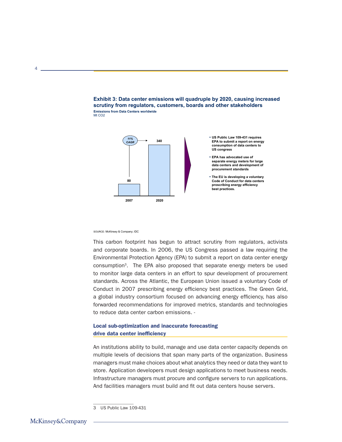



SOURCE: McKinsey & Company; IDC

This carbon footprint has begun to attract scrutiny from regulators, activists and corporate boards. In 2006, the US Congress passed a law requiring the Environmental Protection Agency (EPA) to submit a report on data center energy consumption3. The EPA also proposed that separate energy meters be used to monitor large data centers in an effort to spur development of procurement standards. Across the Atlantic, the European Union issued a voluntary Code of Conduct in 2007 prescribing energy efficiency best practices. The Green Grid, a global industry consortium focused on advancing energy efficiency, has also forwarded recommendations for improved metrics, standards and technologies to reduce data center carbon emissions. -

# Local sub-optimization and inaccurate forecasting drive data center inefficiency

An institutions ability to build, manage and use data center capacity depends on multiple levels of decisions that span many parts of the organization. Business managers must make choices about what analytics they need or data they want to store. Application developers must design applications to meet business needs. Infrastructure managers must procure and configure servers to run applications. And facilities managers must build and fit out data centers house servers.

<sup>3</sup> US Public Law 109-431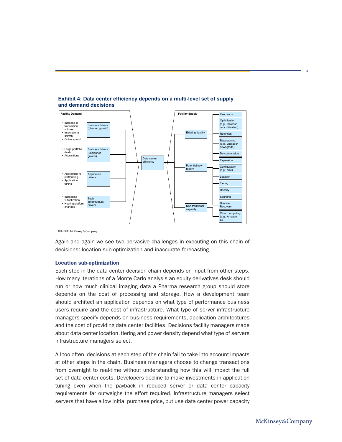

# **Exhibit 4: Data center efficiency depends on a multi-level set of supply and demand decisions**

SOURCE: McKinsey & Company

Again and again we see two pervasive challenges in executing on this chain of decisions: location sub-optimization and inaccurate forecasting.

## Location sub-optimization

Each step in the data center decision chain depends on input from other steps. How many iterations of a Monte Carlo analysis an equity derivatives desk should run or how much clinical imaging data a Pharma research group should store depends on the cost of processing and storage. How a development team should architect an application depends on what type of performance business users require and the cost of infrastructure. What type of server infrastructure managers specify depends on business requirements, application architectures and the cost of providing data center facilities. Decisions facility managers made about data center location, tiering and power density depend what type of servers infrastructure managers select.

All too often, decisions at each step of the chain fail to take into account impacts at other steps in the chain. Business managers choose to change transactions from overnight to real-time without understanding how this will impact the full set of data center costs. Developers decline to make investments in application tuning even when the payback in reduced server or data center capacity requirements far outweighs the effort required. Infrastructure managers select servers that have a low initial purchase price, but use data center power capacity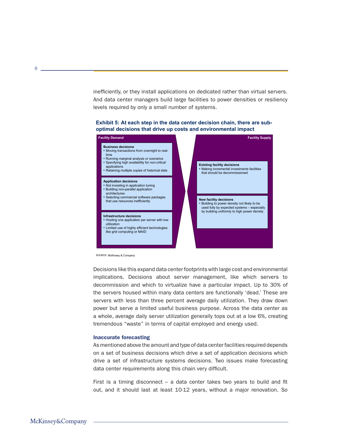inefficiently, or they install applications on dedicated rather than virtual servers. And data center managers build large facilities to power densities or resiliency levels required by only a small number of systems.

#### **Exhibit 5: At each step in the data center decision chain, there are suboptimal decisions that drive up costs and environmental impact**



SOURCE: McKinsey & Company

Decisions like this expand data center footprints with large cost and environmental implications. Decisions about server management, like which servers to decommission and which to virtualize have a particular impact. Up to 30% of the servers housed within many data centers are functionally 'dead.' These are servers with less than three percent average daily utilization. They draw down power but serve a limited useful business purpose. Across the data center as a whole, average daily server utilization generally tops out at a low 6%, creating tremendous "waste" in terms of capital employed and energy used.

#### Inaccurate forecasting

As mentioned above the amount and type of data center facilities required depends on a set of business decisions which drive a set of application decisions which drive a set of infrastructure systems decisions. Two issues make forecasting data center requirements along this chain very difficult.

First is a timing disconnect  $-$  a data center takes two years to build and fit out, and it should last at least 10-12 years, without a major renovation. So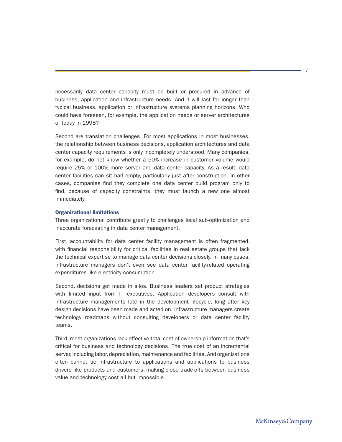necessarily data center capacity must be built or procured in advance of business, application and infrastructure needs. And it will last far longer than typical business, application or infrastructure systems planning horizons. Who could have foreseen, for example, the application needs or server architectures of today in 1998?

Second are translation challenges. For most applications in most businesses, the relationship between business decisions, application architectures and data center capacity requirements is only incompletely understood. Many companies, for example, do not know whether a 50% increase in customer volume would require 25% or 100% more server and data center capacity. As a result, data center facilities can sit half empty, particularly just after construction. In other cases, companies find they complete one data center build program only to find, because of capacity constraints, they must launch a new one almost immediately.

# Organizational limitations

Three organizational contribute greatly to challenges local sub-optimization and inaccurate forecasting in data center management.

First, accountability for data center facility management is often fragmented, with financial responsibility for critical facilities in real estate groups that lack the technical expertise to manage data center decisions closely. In many cases, infrastructure managers don't even see data center facility-related operating expenditures like electricity consumption.

Second, decisions get made in silos. Business leaders set product strategies with limited input from IT executives. Application developers consult with infrastructure managements late in the development lifecycle, long after key design decisions have been made and acted on. Infrastructure managers create technology roadmaps without consulting developers or data center facility teams.

Third, most organizations lack effective total cost of ownership information that's critical for business and technology decisions. The true cost of an incremental server, including labor, depreciation, maintenance and facilities. And organizations often cannot tie infrastructure to applications and applications to business drivers like products and customers, making close trade-offs between business value and technology cost all but impossible.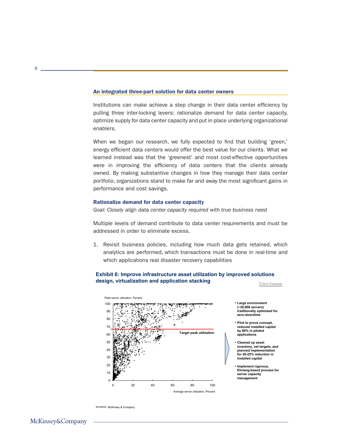#### An integrated three-part solution for data center owners

Institutions can make achieve a step change in their data center efficiency by pulling three inter-locking levers: rationalize demand for data center capacity, optimize supply for data center capacity and put in place underlying organizational enablers.

When we began our research, we fully expected to find that building 'green,' energy efficient data centers would offer the best value for our clients. What we learned instead was that the 'greenest' and most cost-effective opportunities were in improving the efficiency of data centers that the clients already owned. By making substantive changes in how they manage their data center portfolio, organizations stand to make far and away the most significant gains in performance and cost savings.

# Rationalize demand for data center capacity

*Goal: Closely align data center capacity required with true business need*

Multiple levels of demand contribute to data center requirements and must be addressed in order to eliminate excess.

1. Revisit business policies, including how much data gets retained, which analytics are performed, which transactions must be done in real-time and which applications real disaster recovery capabilities

#### **Exhibit 6: Improve infrastructure asset utilization by improved solutions design, virtualization and application stacking** Client Example





- ƒ **Pilot to prove concept, reduced installed capital by 80% in piloted applications**
- ƒ **Cleaned up asset inventory, set targets, and planned implementation for 20-25% reduction in installed capital**
- ƒ **Implement rigorous, Ehrlang-based process for server capacity management**

8

SOURCE: McKinsey & Company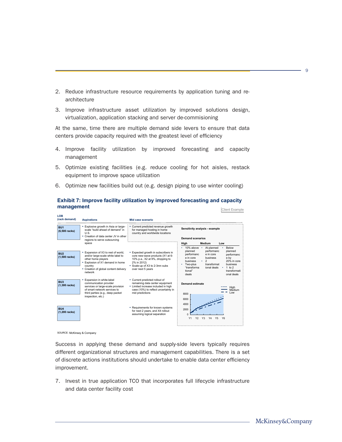- 2. Reduce infrastructure resource requirements by application tuning and rearchitecture
- 3. Improve infrastructure asset utilization by improved solutions design, virtualization, application stacking and server de-commisioning

At the same, time there are multiple demand side levers to ensure that data centers provide capacity required with the greatest level of efficiency

- 4. Improve facility utilization by improved forecasting and capacity management
- 5. Optimize existing facilities (e.g. reduce cooling for hot aisles, restack equipment to improve space utilization
- 6. Optimize new facilities build out (e.g. design piping to use winter cooling)

| LOB<br>(rack demand)               | <b>Aspirations</b>                                                                                                                                                                                                                         | Mid case scenario                                                                                                                                                              |                                                                                                                                                                                                                                                                                                                                                                                            |
|------------------------------------|--------------------------------------------------------------------------------------------------------------------------------------------------------------------------------------------------------------------------------------------|--------------------------------------------------------------------------------------------------------------------------------------------------------------------------------|--------------------------------------------------------------------------------------------------------------------------------------------------------------------------------------------------------------------------------------------------------------------------------------------------------------------------------------------------------------------------------------------|
| BU <sub>1</sub><br>$(6,500$ racks) | . Explosive growth in Asia or large-<br>scale "build ahead of demand" in<br>U.S.<br>• Creation of data center JV in other                                                                                                                  | • Current predicted revenue growth<br>for managed hosting in home<br>country and worldwide locations                                                                           | Sensitivity analysis - example                                                                                                                                                                                                                                                                                                                                                             |
|                                    | regions to serve outsourcing<br>space<br>• Expansion of X3 to rest of world,<br>and/or large-scale white label to<br>other home players<br>• Explosion of X1 demand in home<br>country<br>• Creation of global content delivery<br>network |                                                                                                                                                                                | <b>Demand scenarios</b>                                                                                                                                                                                                                                                                                                                                                                    |
|                                    |                                                                                                                                                                                                                                            |                                                                                                                                                                                | Medium<br>High<br>Low                                                                                                                                                                                                                                                                                                                                                                      |
| BU <sub>2</sub><br>$(1,500$ racks) |                                                                                                                                                                                                                                            | • Expected growth in subscribers in<br>core new-wave products (X1 at 6-<br>10% p.a., X2 at 9%, dropping to<br>2% in 2012)<br>Scale-up of X3 to 2-3mn subs<br>over next 5 years | 10% above $\cdot$<br><b>Below</b><br>At planned<br>performanc<br>planned<br>planned<br>performanc<br>e in core<br>performanc<br>e in core<br>business<br>e by<br>$\overline{2}$<br>20% in core<br><b>business</b><br>$\bullet$ .<br>transformat<br>$\cdot$ Two-plus<br>business<br>"transforma<br>ional deals<br>$1$ to $2$<br>$\bullet$<br>tional"<br>transformati<br>deals<br>onal deals |
| BU <sub>3</sub><br>$(1,300$ racks) | Expansion in white-label<br>communication provider<br>services or large-scale provision<br>of smart network services to<br>third parties (e.g., deep packet<br>inspection, etc.)                                                           | • Current predicted rollout of<br>remaining data center equipment<br>• Limited increase included in high<br>case (10%) to reflect uncertainty in<br>mid predictions            | <b>Demand estimate</b><br>High<br>Medium<br>Low<br>8000<br>6000<br>4000                                                                                                                                                                                                                                                                                                                    |
| BU <sub>4</sub><br>$(1,200$ racks) |                                                                                                                                                                                                                                            | • Requirements for known systems<br>for next 2 years, and X4 rollout<br>assuming logical separation                                                                            | 2000<br>n<br>Y <sub>2</sub><br>Y1<br>Y3<br>Y <sub>5</sub><br>Y <sub>6</sub><br>Y4                                                                                                                                                                                                                                                                                                          |

# **Exhibit 7: Improve facility utilization by improved forecasting and capacity management**  $\qquad \qquad \text{Client Example}$

SOURCE: McKinsey & Company

Success in applying these demand and supply-side levers typically requires different organizational structures and management capabilities. There is a set of discrete actions institutions should undertake to enable data center efficiency improvement.

7. Invest in true application TCO that incorporates full lifecycle infrastructure and data center facility cost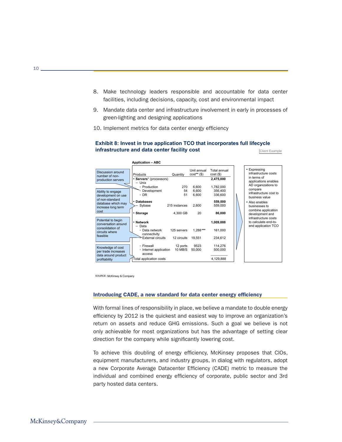- 8. Make technology leaders responsible and accountable for data center facilities, including decisions, capacity, cost and environmental impact
- 9. Mandate data center and infrastructure involvement in early in processes of green-lighting and designing applications
- 10. Implement metrics for data center energy efficiency

# **Exhibit 8: Invest in true application TCO that incorporates full lifecycle infrastructure and data center facility cost** Client Example



SOURCE: McKinsey & Company

#### Introducing CADE, a new standard for data center energy efficiency

With formal lines of responsibility in place, we believe a mandate to double energy efficiency by 2012 is the quickest and easiest way to improve an organization's return on assets and reduce GHG emissions. Such a goal we believe is not only achievable for most organizations but has the advantage of setting clear direction for the company while significantly lowering cost.

To achieve this doubling of energy efficiency, McKinsey proposes that CIOs, equipment manufacturers, and industry groups, in dialog with regulators, adopt a new Corporate Average Datacenter Efficiency (CADE) metric to measure the individual and combined energy efficiency of corporate, public sector and 3rd party hosted data centers.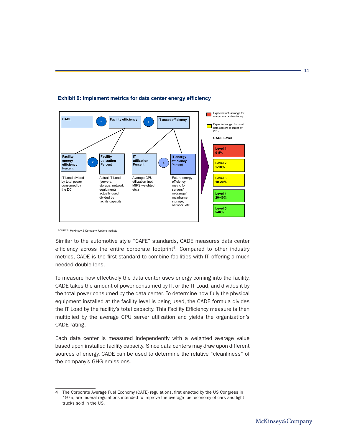

# **Exhibit 9: Implement metrics for data center energy efficiency**

SOURCE: McKinsey & Company; Uptime Institute

Similar to the automotive style "CAFE" standards, CADE measures data center efficiency across the entire corporate footprint<sup>4</sup>. Compared to other industry metrics, CADE is the first standard to combine facilities with IT, offering a much needed double lens.

To measure how effectively the data center uses energy coming into the facility, CADE takes the amount of power consumed by IT, or the IT Load, and divides it by the total power consumed by the data center. To determine how fully the physical equipment installed at the facility level is being used, the CADE formula divides the IT Load by the facility's total capacity. This Facility Efficiency measure is then multiplied by the average CPU server utilization and yields the organization's CADE rating.

Each data center is measured independently with a weighted average value based upon installed facility capacity. Since data centers may draw upon different sources of energy, CADE can be used to determine the relative "cleanliness" of the company's GHG emissions.

<sup>4</sup> The Corporate Average Fuel Economy (CAFE) regulations, first enacted by the US Congress in 1975, are federal regulations intended to improve the average fuel economy of cars and light trucks sold in the US.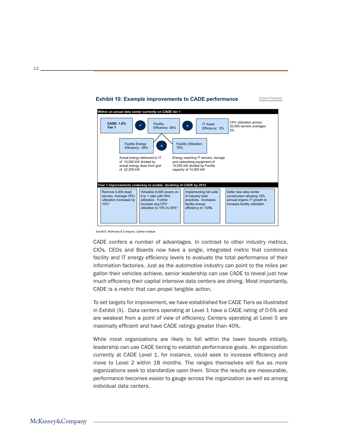# **Exhibit 10: Example improvements to CADE performance**



SOURCE: McKinsey & Company; Uptime Institute

CADE confers a number of advantages. In contrast to other industry metrics, CIOs, CEOs and Boards now have a single, integrated metric that combines facility and IT energy efficiency levels to evaluate the total performance of their information factories. Just as the automotive industry can point to the miles per gallon their vehicles achieve, senior leadership can use CADE to reveal just how much efficiency their capital intensive data centers are driving. Most importantly, CADE is a metric that can propel tangible action.

To set targets for improvement, we have established five CADE Tiers as illustrated in Exhibit (X). Data centers operating at Level 1 have a CADE rating of 0-5% and are weakest from a point of view of efficiency. Centers operating at Level 5 are maximally efficient and have CADE ratings greater than 40%.

While most organizations are likely to fall within the lower bounds initially, leadership can use CADE tiering to establish performance goals. An organization currently at CADE Level 1, for instance, could seek to increase efficiency and move to Level 2 within 18 months. The ranges themselves will flux as more organizations seek to standardize upon them. Since the results are measurable, performance becomes easier to gauge across the organization as well as among individual data centers.